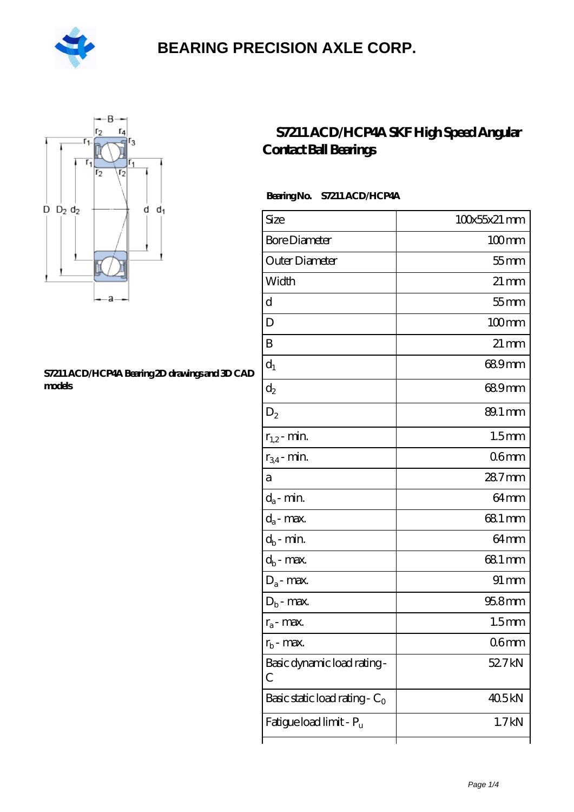



#### **[S7211 ACD/HCP4A Bearing 2D drawings and 3D CAD](https://m.hilalanaokulu.com/pic-660665.html) [models](https://m.hilalanaokulu.com/pic-660665.html)**

### **[S7211 ACD/HCP4A SKF High Speed Angular](https://m.hilalanaokulu.com/skf-bearings/s7211-acd-hcp4a.html) [Contact Ball Bearings](https://m.hilalanaokulu.com/skf-bearings/s7211-acd-hcp4a.html)**

### **Bearing No. S7211 ACD/HCP4A**

| Size                             | 100x55x21 mm       |
|----------------------------------|--------------------|
| <b>Bore Diameter</b>             | $100$ mm           |
| Outer Diameter                   | $55$ mm            |
| Width                            | $21 \,\mathrm{mm}$ |
| d                                | $55$ mm            |
| D                                | $100$ mm           |
| B                                | $21 \,\mathrm{mm}$ |
| $d_1$                            | 689mm              |
| $\mathrm{d}_2$                   | 689mm              |
| $D_2$                            | 89.1 mm            |
| $r_{1,2}$ - min.                 | 1.5 <sub>mm</sub>  |
| $r_{34}$ - min.                  | 06mm               |
| а                                | 287mm              |
| $d_a$ - min.                     | 64 <sub>mm</sub>   |
| $d_a$ - max.                     | 681 mm             |
| $d_b$ - min.                     | 64 <sub>mm</sub>   |
| $d_b$ - max.                     | 68.1 mm            |
| $D_a$ - max.                     | $91 \,\mathrm{mm}$ |
| $D_b$ - max.                     | $958$ mm           |
| $r_a$ - max.                     | 1.5 <sub>mm</sub>  |
| $r_{\rm b}$ - max.               | 06 <sub>mm</sub>   |
| Basic dynamic load rating-<br>C  | 52.7kN             |
| Basic static load rating - $C_0$ | 405kN              |
| Fatigue load limit - Pu          | 1.7kN              |
|                                  |                    |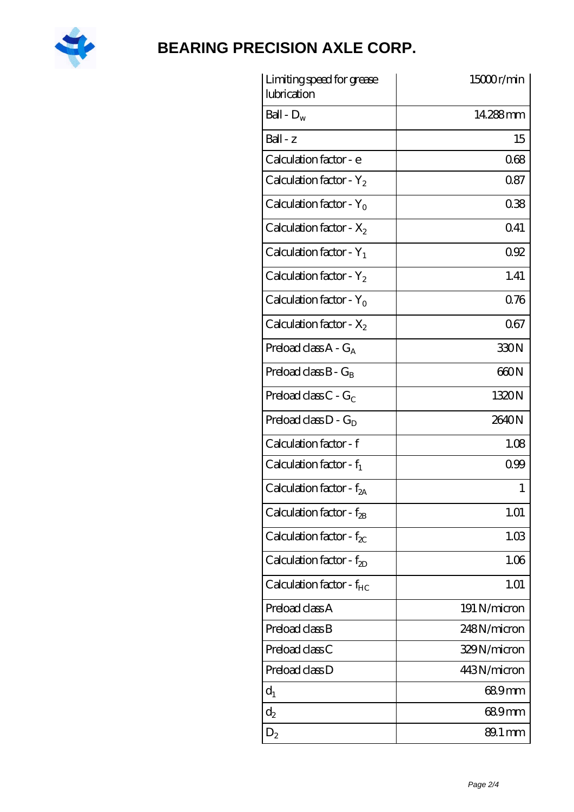

| Limiting speed for grease<br>lubrication | 15000r/min   |
|------------------------------------------|--------------|
| Ball - $D_w$                             | 14.288mm     |
| $Ball - z$                               | 15           |
| Calculation factor - e                   | 068          |
| Calculation factor - $Y_2$               | 087          |
| Calculation factor - $Y_0$               | 038          |
| Calculation factor - $X_2$               | 041          |
| Calculation factor - $Y_1$               | 092          |
| Calculation factor - $Y_2$               | 1.41         |
| Calculation factor - $Y_0$               | 076          |
| Calculation factor - $X_2$               | 067          |
| Preload class $A - G_A$                  | 330N         |
| Preload class $B - G_B$                  | 660N         |
| Preload class $C - G_C$                  | 1320N        |
| Preload class $D - G_D$                  | 2640N        |
| Calculation factor - f                   | 1.08         |
| Calculation factor - $f_1$               | 099          |
| Calculation factor - f <sub>2A</sub>     | 1            |
| Calculation factor - $f_{2B}$            | 1.01         |
| Calculation factor - $f_{\chi}$          | 1.03         |
| Calculation factor - $f_{2D}$            | 1.06         |
| Calculation factor - $f_{HC}$            | 1.01         |
| Preload class A                          | 191 N/micron |
| Preload class B                          | 248N/micron  |
| Preload class C                          | 329N/micron  |
| Preload class D                          | 443N/micron  |
| $d_1$                                    | 689mm        |
| $d_2$                                    | 689mm        |
| $D_2$                                    | 89.1 mm      |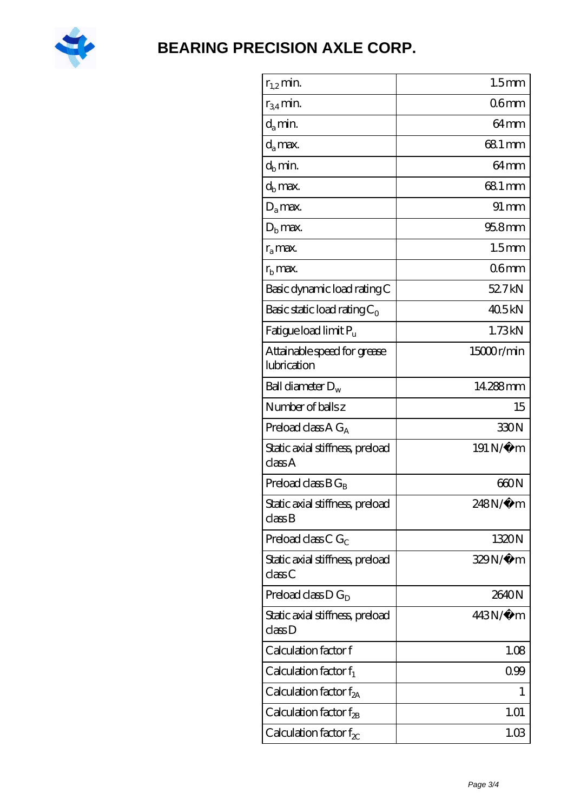

| $r_{1,2}$ min.                                                | 1.5 <sub>mm</sub> |
|---------------------------------------------------------------|-------------------|
| $r_{34}$ min.                                                 | 06 <sub>mm</sub>  |
| $d_a$ min.                                                    | 64 <sub>mm</sub>  |
| $d_a$ max.                                                    | 68.1 mm           |
| $d_b$ min.                                                    | 64mm              |
| $d_h$ max.                                                    | 68.1 mm           |
| $D_a$ max.                                                    | $91 \, \text{mm}$ |
| $D_{\rm b}$ max.                                              | $958$ mm          |
| $r_a$ max.                                                    | 1.5 <sub>mm</sub> |
| $rb$ max.                                                     | 06 <sub>mm</sub>  |
| Basic dynamic load rating C                                   | 52.7kN            |
| Basic static load rating $C_0$                                | 405kN             |
| Fatigue load limit P <sub>u</sub>                             | 1.73kN            |
| Attainable speed for grease<br>lubrication                    | 15000r/min        |
| Ball diameter $D_w$                                           | 14.288mm          |
| Number of balls z                                             | 15                |
| Preload class $A G_A$                                         | 330N              |
| Static axial stiffness, preload<br>classA                     | 191 N/μ m         |
| Preload class $BG_R$                                          | 660N              |
| Static axial stiffness, preload<br>$\mathrm{class}\mathrm{B}$ | 248N/µ m          |
| Preload class $CG_C$                                          | 1320N             |
| Static axial stiffness, preload<br>classC                     | 329N/µ m          |
| Preload class $D G_D$                                         | 2640N             |
| Static axial stiffness, preload<br>classD                     | 443N/µ m          |
| Calculation factor f                                          | 1.08              |
| Calculation factor $f_1$                                      | 0.99              |
| Calculation factor f <sub>2A</sub>                            | 1                 |
| Calculation factor $f_{\rm 2B}$                               | 1.01              |
| Calculation factor $f_{\chi}$                                 | 1.03              |